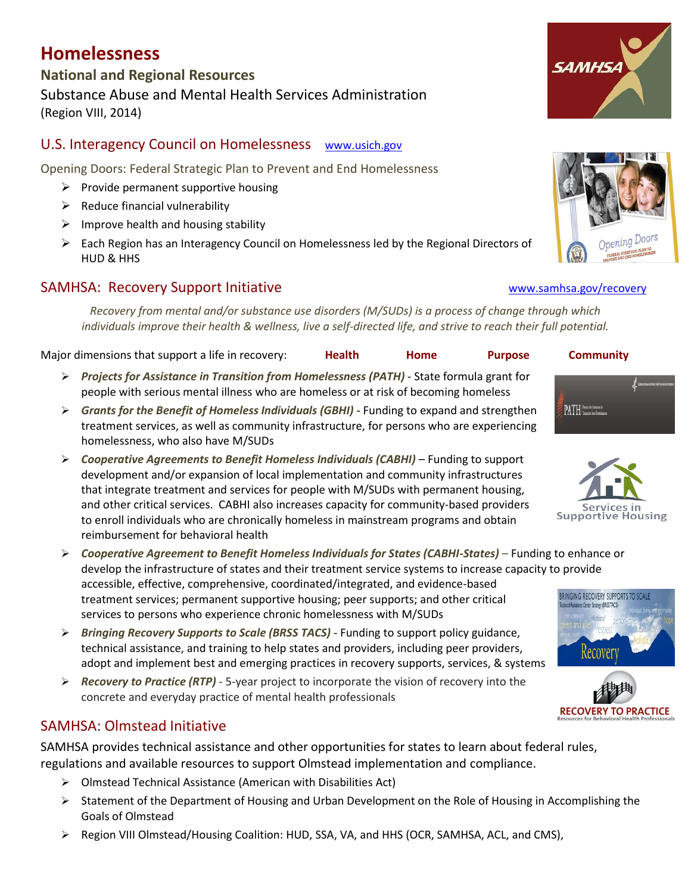# **Homelessness**

## **National and Regional Resources** Substance Abuse and Mental Health Services Administration (Region VIII, 2014)

### U.S. Interagency Council on Homelessness [www.usich.gov](http://www.usich.gov/)

Opening Doors: Federal Strategic Plan to Prevent and End Homelessness

- $\triangleright$  Provide permanent supportive housing
- $\triangleright$  Reduce financial vulnerability
- $\triangleright$  Improve health and housing stability
- $\triangleright$  Each Region has an Interagency Council on Homelessness led by the Regional Directors of HUD & HHS

### SAMHSA: Recovery Support Initiative [www.samhsa.gov/recovery](http://www.samhsa.gov/recovery)

*Recovery from mental and/or substance use disorders (M/SUDs) is a process of change through which individuals improve their health & wellness, live a self-directed life, and strive to reach their full potential.*

| Major dimensions that support a life in recovery: | Health | Home | <b>Purpose</b> | <b>Community</b> |
|---------------------------------------------------|--------|------|----------------|------------------|
|                                                   |        |      |                |                  |

- *[Projects for Assistance in Transition from Homelessness](http://pathprogram.samhsa.gov/) (PATH)* State formula grant for people with serious mental illness who are homeless or at risk of becoming homeless
- *Grants for the Benefit of Homeless Individuals (GBHI) -* Funding to expand and strengthen treatment services, as well as community infrastructure, for persons who are experiencing homelessness, who also have M/SUDs
- *Cooperative Agreements to Benefit Homeless Individuals (CABHI)* Funding to support development and/or expansion of local implementation and community infrastructures that integrate treatment and services for people with M/SUDs with permanent housing, and other critical services. CABHI also increases capacity for community-based providers to enroll individuals who are chronically homeless in mainstream programs and obtain reimbursement for behavioral health
- *Cooperative Agreement to Benefit Homeless Individuals for States (CABHI-States) –* Funding to enhance or develop the infrastructure of states and their treatment service systems to increase capacity to provide accessible, effective, comprehensive, coordinated/integrated, and evidence-based treatment services; permanent supportive housing; peer supports; and other critical *<u>itemery</u>* (BRSS TACS) services to persons who experience chronic homelessness with M/SUDs
- *Bringing Recovery Supports to Scale (BRSS TACS)* Funding to support policy guidance, technical assistance, and training to help states and providers, including peer providers, adopt and implement best and emerging practices in recovery supports, services, & systems
- *Recovery to Practice (RTP)* 5-year project to incorporate the vision of recovery into the concrete and everyday practice of mental health professionals

### SAMHSA: Olmstead Initiative

SAMHSA provides technical assistance and other opportunities for states to learn about federal rules, regulations and available resources to support Olmstead implementation and compliance.

- Olmstead Technical Assistance (American with Disabilities Act)
- $\triangleright$  Statement of the Department of Housing and Urban Development on the Role of Housing in Accomplishing the Goals of Olmstead
- ▶ Region VIII Olmstead/Housing Coalition: HUD, SSA, VA, and HHS (OCR, SAMHSA, ACL, and CMS),

# **SAMHS**





**PATH** Institutional



**RECOVERY TO PRACTICE**